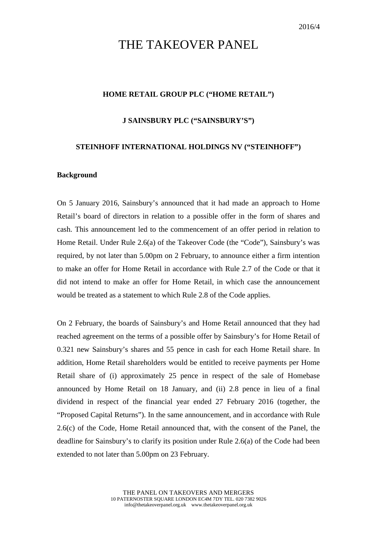# THE TAKEOVER PANEL

## **HOME RETAIL GROUP PLC ("HOME RETAIL")**

#### **J SAINSBURY PLC ("SAINSBURY'S")**

## **STEINHOFF INTERNATIONAL HOLDINGS NV ("STEINHOFF")**

#### **Background**

On 5 January 2016, Sainsbury's announced that it had made an approach to Home Retail's board of directors in relation to a possible offer in the form of shares and cash. This announcement led to the commencement of an offer period in relation to Home Retail. Under Rule 2.6(a) of the Takeover Code (the "Code"), Sainsbury's was required, by not later than 5.00pm on 2 February, to announce either a firm intention to make an offer for Home Retail in accordance with Rule 2.7 of the Code or that it did not intend to make an offer for Home Retail, in which case the announcement would be treated as a statement to which Rule 2.8 of the Code applies.

On 2 February, the boards of Sainsbury's and Home Retail announced that they had reached agreement on the terms of a possible offer by Sainsbury's for Home Retail of 0.321 new Sainsbury's shares and 55 pence in cash for each Home Retail share. In addition, Home Retail shareholders would be entitled to receive payments per Home Retail share of (i) approximately 25 pence in respect of the sale of Homebase announced by Home Retail on 18 January, and (ii) 2.8 pence in lieu of a final dividend in respect of the financial year ended 27 February 2016 (together, the "Proposed Capital Returns"). In the same announcement, and in accordance with Rule 2.6(c) of the Code, Home Retail announced that, with the consent of the Panel, the deadline for Sainsbury's to clarify its position under Rule 2.6(a) of the Code had been extended to not later than 5.00pm on 23 February.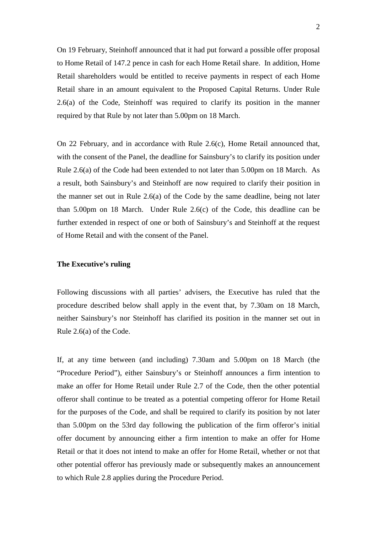On 19 February, Steinhoff announced that it had put forward a possible offer proposal to Home Retail of 147.2 pence in cash for each Home Retail share. In addition, Home Retail shareholders would be entitled to receive payments in respect of each Home Retail share in an amount equivalent to the Proposed Capital Returns. Under Rule 2.6(a) of the Code, Steinhoff was required to clarify its position in the manner required by that Rule by not later than 5.00pm on 18 March.

On 22 February, and in accordance with Rule 2.6(c), Home Retail announced that, with the consent of the Panel, the deadline for Sainsbury's to clarify its position under Rule 2.6(a) of the Code had been extended to not later than 5.00pm on 18 March. As a result, both Sainsbury's and Steinhoff are now required to clarify their position in the manner set out in Rule 2.6(a) of the Code by the same deadline, being not later than 5.00pm on 18 March. Under Rule 2.6(c) of the Code, this deadline can be further extended in respect of one or both of Sainsbury's and Steinhoff at the request of Home Retail and with the consent of the Panel.

### **The Executive's ruling**

Following discussions with all parties' advisers, the Executive has ruled that the procedure described below shall apply in the event that, by 7.30am on 18 March, neither Sainsbury's nor Steinhoff has clarified its position in the manner set out in Rule 2.6(a) of the Code.

If, at any time between (and including) 7.30am and 5.00pm on 18 March (the "Procedure Period"), either Sainsbury's or Steinhoff announces a firm intention to make an offer for Home Retail under Rule 2.7 of the Code, then the other potential offeror shall continue to be treated as a potential competing offeror for Home Retail for the purposes of the Code, and shall be required to clarify its position by not later than 5.00pm on the 53rd day following the publication of the firm offeror's initial offer document by announcing either a firm intention to make an offer for Home Retail or that it does not intend to make an offer for Home Retail, whether or not that other potential offeror has previously made or subsequently makes an announcement to which Rule 2.8 applies during the Procedure Period.